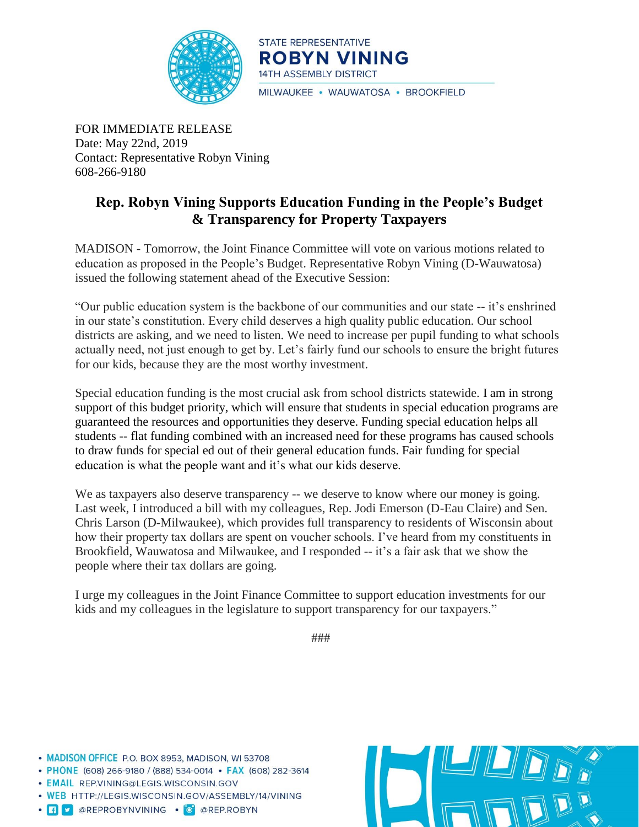

STATE REPRESENTATIVE **ROBYN VINING** 14TH ASSEMBLY DISTRICT MILWAUKEE · WAUWATOSA · BROOKFIELD

FOR IMMEDIATE RELEASE Date: May 22nd, 2019 Contact: Representative Robyn Vining 608-266-9180

## **Rep. Robyn Vining Supports Education Funding in the People's Budget & Transparency for Property Taxpayers**

MADISON - Tomorrow, the Joint Finance Committee will vote on various motions related to education as proposed in the People's Budget. Representative Robyn Vining (D-Wauwatosa) issued the following statement ahead of the Executive Session:

"Our public education system is the backbone of our communities and our state -- it's enshrined in our state's constitution. Every child deserves a high quality public education. Our school districts are asking, and we need to listen. We need to increase per pupil funding to what schools actually need, not just enough to get by. Let's fairly fund our schools to ensure the bright futures for our kids, because they are the most worthy investment.

Special education funding is the most crucial ask from school districts statewide. I am in strong support of this budget priority, which will ensure that students in special education programs are guaranteed the resources and opportunities they deserve. Funding special education helps all students -- flat funding combined with an increased need for these programs has caused schools to draw funds for special ed out of their general education funds. Fair funding for special education is what the people want and it's what our kids deserve.

We as taxpayers also deserve transparency -- we deserve to know where our money is going. Last week, I introduced a bill with my colleagues, Rep. Jodi Emerson (D-Eau Claire) and Sen. Chris Larson (D-Milwaukee), which provides full transparency to residents of Wisconsin about how their property tax dollars are spent on voucher schools. I've heard from my constituents in Brookfield, Wauwatosa and Milwaukee, and I responded -- it's a fair ask that we show the people where their tax dollars are going.

I urge my colleagues in the Joint Finance Committee to support education investments for our kids and my colleagues in the legislature to support transparency for our taxpayers."

###

• MADISON OFFICE P.O. BOX 8953, MADISON, WI 53708

• PHONE (608) 266-9180 / (888) 534-0014 • FAX (608) 282-3614

· EMAIL REP.VINING@LEGIS.WISCONSIN.GOV

. WEB HTTP://LEGIS.WISCONSIN.GOV/ASSEMBLY/14/VINING

· **f v** @REPROBYNVINING · O @REP.ROBYN